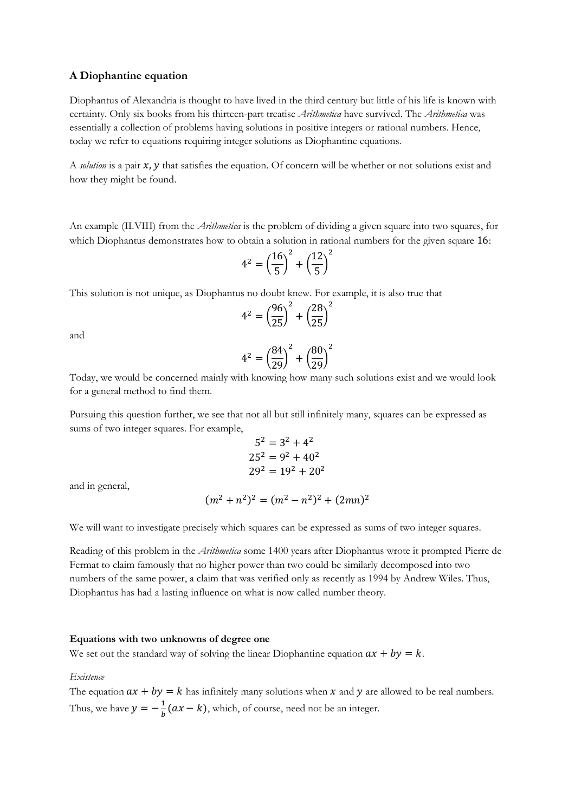# **A Diophantine equation**

Diophantus of Alexandria is thought to have lived in the third century but little of his life is known with certainty. Only six books from his thirteen-part treatise *Arithmetica* have survived. The *Arithmetica* was essentially a collection of problems having solutions in positive integers or rational numbers. Hence, today we refer to equations requiring integer solutions as Diophantine equations.

A *solution* is a pair **x**, **y** that satisfies the equation. Of concern will be whether or not solutions exist and how they might be found.

An example (II.VIII) from the *Arithmetica* is the problem of dividing a given square into two squares, for which Diophantus demonstrates how to obtain a solution in rational numbers for the given square 16:

$$
4^2 = \left(\frac{16}{5}\right)^2 + \left(\frac{12}{5}\right)^2
$$

This solution is not unique, as Diophantus no doubt knew. For example, it is also true that

$$
4^2 = \left(\frac{96}{25}\right)^2 + \left(\frac{28}{25}\right)^2
$$

and

$$
4^2 = \left(\frac{84}{29}\right)^2 + \left(\frac{80}{29}\right)^2
$$

Today, we would be concerned mainly with knowing how many such solutions exist and we would look for a general method to find them.

Pursuing this question further, we see that not all but still infinitely many, squares can be expressed as sums of two integer squares. For example,

$$
52 = 32 + 42
$$
  

$$
252 = 92 + 402
$$
  

$$
292 = 192 + 202
$$

and in general,

$$
(m^2 + n^2)^2 = (m^2 - n^2)^2 + (2mn)^2
$$

We will want to investigate precisely which squares can be expressed as sums of two integer squares.

Reading of this problem in the *Arithmetica* some 1400 years after Diophantus wrote it prompted Pierre de Fermat to claim famously that no higher power than two could be similarly decomposed into two numbers of the same power, a claim that was verified only as recently as 1994 by Andrew Wiles. Thus, Diophantus has had a lasting influence on what is now called number theory.

# **Equations with two unknowns of degree one**

We set out the standard way of solving the linear Diophantine equation  $ax + by = k$ .

## *Existence*

The equation  $ax + by = k$  has infinitely many solutions when x and y are allowed to be real numbers. Thus, we have  $y = -\frac{1}{b}$  $\frac{1}{b}(ax - k)$ , which, of course, need not be an integer.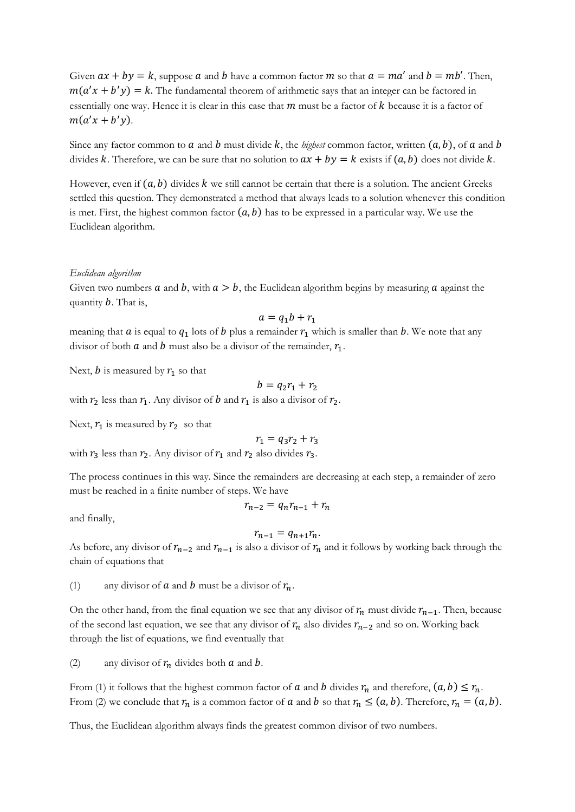Given  $ax + by = k$ , suppose  $a$  and  $b$  have a common factor  $m$  so that  $a = ma'$  and  $b = mb'$ . Then,  $m(a'x + b'y) = k$ . The fundamental theorem of arithmetic says that an integer can be factored in essentially one way. Hence it is clear in this case that  $m$  must be a factor of  $k$  because it is a factor of  $m(a'x + b'y).$ 

Since any factor common to  $a$  and  $b$  must divide  $k$ , the *highest* common factor, written  $(a, b)$ , of  $a$  and  $b$ divides k. Therefore, we can be sure that no solution to  $ax + by = k$  exists if  $(a, b)$  does not divide k.

However, even if  $(a, b)$  divides k we still cannot be certain that there is a solution. The ancient Greeks settled this question. They demonstrated a method that always leads to a solution whenever this condition is met. First, the highest common factor  $(a, b)$  has to be expressed in a particular way. We use the Euclidean algorithm.

#### *Euclidean algorithm*

Given two numbers  $a$  and  $b$ , with  $a > b$ , the Euclidean algorithm begins by measuring  $a$  against the quantity  $b$ . That is,

$$
a = q_1 b + r_1
$$

meaning that  $a$  is equal to  $q_1$  lots of  $b$  plus a remainder  $r_1$  which is smaller than  $b$ . We note that any divisor of both  $a$  and  $b$  must also be a divisor of the remainder,  $r_1$ .

Next, b is measured by  $r_1$  so that

$$
b=q_2r_1+r_2
$$

with  $r_2$  less than  $r_1$ . Any divisor of  $b$  and  $r_1$  is also a divisor of  $r_2$ .

Next,  $r_1$  is measured by  $r_2$  so that

 $r_1 = q_3 r_2 + r_3$ 

with  $r_3$  less than  $r_2$ . Any divisor of  $r_1$  and  $r_2$  also divides  $r_3$ .

The process continues in this way. Since the remainders are decreasing at each step, a remainder of zero must be reached in a finite number of steps. We have

and finally,

$$
r_{n-1}=q_{n+1}r_n.
$$

 $r_{n-2} = q_n r_{n-1} + r_n$ 

As before, any divisor of  $r_{n-2}$  and  $r_{n-1}$  is also a divisor of  $r_n$  and it follows by working back through the chain of equations that

(1) any divisor of **a** and **b** must be a divisor of  $r_n$ .

On the other hand, from the final equation we see that any divisor of  $r_n$  must divide  $r_{n-1}$ . Then, because of the second last equation, we see that any divisor of  $r_n$  also divides  $r_{n-2}$  and so on. Working back through the list of equations, we find eventually that

(2) any divisor of  $r_n$  divides both  $a$  and  $b$ .

From (1) it follows that the highest common factor of  $a$  and  $b$  divides  $r_n$  and therefore,  $(a, b) \le r_n$ . From (2) we conclude that  $r_n$  is a common factor of  $a$  and  $b$  so that  $r_n \leq (a, b)$ . Therefore,  $r_n = (a, b)$ .

Thus, the Euclidean algorithm always finds the greatest common divisor of two numbers.